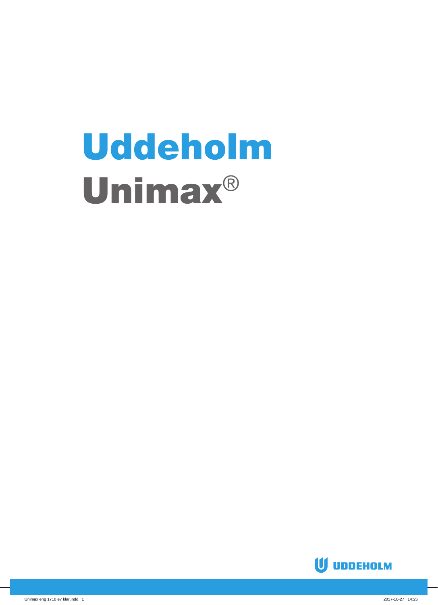# Uddeholm Unimax®

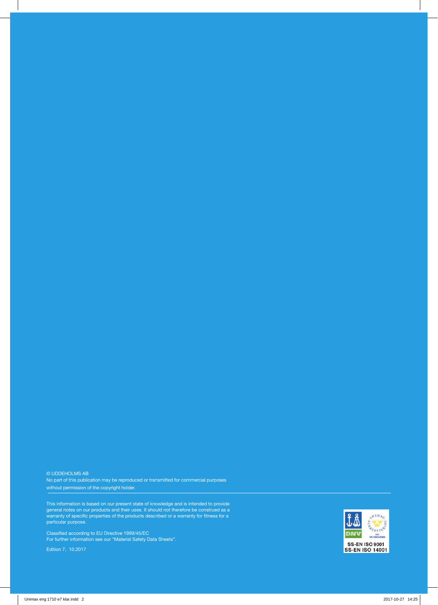© UDDEHOLMS AB No part of this publication may be reproduced or transmitted for commercial purposes without permission of the copyright holder.

This information is based on our present state of knowledge and is intended to provide general notes on our products and their uses. It should not therefore be construed as a warranty of specific properties of the products described or a warranty for fitness for a particular purpose.

Classified according to EU Directive 1999/45/EC For further information see our "Material Safety Data Sheets".

Edition 7, 10.2017

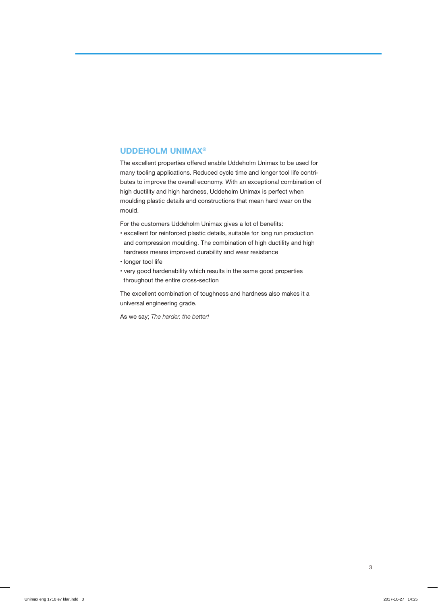#### **UDDEHOLM UNIMAX®**

The excellent properties offered enable Uddeholm Unimax to be used for many tooling applications. Reduced cycle time and longer tool life contributes to improve the overall economy. With an exceptional combination of high ductility and high hardness, Uddeholm Unimax is perfect when moulding plastic details and constructions that mean hard wear on the mould.

For the customers Uddeholm Unimax gives a lot of benefits:

- excellent for reinforced plastic details, suitable for long run production and compression moulding. The combination of high ductility and high hardness means improved durability and wear resistance
- longer tool life
- very good hardenability which results in the same good properties throughout the entire cross-section

The excellent combination of toughness and hardness also makes it a universal engineering grade.

As we say; *The harder, the better!*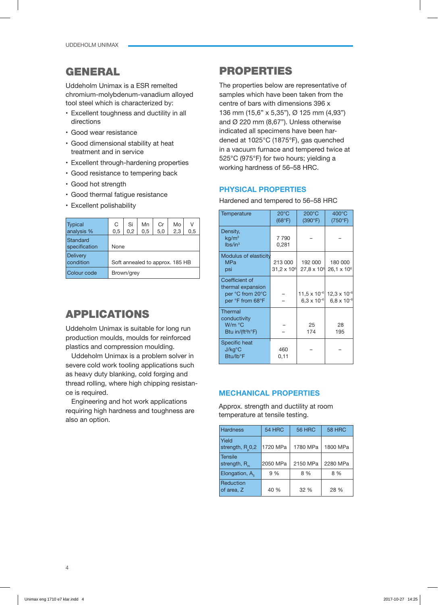# GENERAL

Uddeholm Unimax is a ESR remelted chromium-molybdenum-vanadium alloyed tool steel which is characterized by:

- Excellent toughness and ductility in all directions
- Good wear resistance
- Good dimensional stability at heat treatment and in service
- Excellent through-hardening properties
- Good resistance to tempering back
- Good hot strength
- Good thermal fatigue resistance
- Excellent polishability

| <b>Typical</b><br>analysis % | C<br>0,5                        | Si<br>0.2 | Mn<br>0,5 | Cr<br>5,0 | Mo<br>2,3 | $\vee$<br>0,5 |
|------------------------------|---------------------------------|-----------|-----------|-----------|-----------|---------------|
| Standard<br>specification    | None                            |           |           |           |           |               |
| <b>Delivery</b><br>condition | Soft annealed to approx. 185 HB |           |           |           |           |               |
| Colour code                  | Brown/grey                      |           |           |           |           |               |

# APPLICATIONS

Uddeholm Unimax is suitable for long run production moulds, moulds for reinforced plastics and compression moulding.

Uddeholm Unimax is a problem solver in severe cold work tooling applications such as heavy duty blanking, cold forging and thread rolling, where high chipping resistance is required.

Engineering and hot work applications requiring high hardness and toughness are also an option.

# PROPERTIES

The properties below are representative of samples which have been taken from the centre of bars with dimensions 396 x 136 mm (15,6" x 5,35"), Ø 125 mm (4,93") and Ø 220 mm (8,67"). Unless otherwise indicated all specimens have been hardened at 1025°C (1875°F), gas quenched in a vacuum furnace and tempered twice at 525°C (975°F) for two hours; yielding a working hardness of 56–58 HRC.

## **PHYSICAL PROPERTIES**

Hardened and tempered to 56–58 HRC

| Temperature                                                                        | $20^{\circ}$ C<br>(68°F)        | $200^{\circ}$ C<br>(390°F)                    | $400^{\circ}$ C<br>(750°F)                    |
|------------------------------------------------------------------------------------|---------------------------------|-----------------------------------------------|-----------------------------------------------|
| Density,<br>kq/m <sup>3</sup><br>lbs/in <sup>3</sup>                               | 7790<br>0,281                   |                                               |                                               |
| <b>Modulus of elasticity</b><br><b>MPa</b><br>psi                                  | 213 000<br>$31.2 \times 10^{6}$ | 192 000<br>$27,8 \times 10^{6}$               | 180 000<br>26,1 x 10 <sup>6</sup>             |
| Coefficient of<br>thermal expansion<br>per °C from 20°C<br>per °F from 68°F        |                                 | $11.5 \times 10^{-6}$<br>$6,3 \times 10^{-6}$ | $12.3 \times 10^{-6}$<br>$6.8 \times 10^{-6}$ |
| <b>Thermal</b><br>conductivity<br>W/m °C<br>Btu in/(ft <sup>2</sup> h $\degree$ F) |                                 | 25<br>174                                     | 28<br>195                                     |
| Specific heat<br>J/kg°C<br>Btu/lb°F                                                | 460<br>0,11                     |                                               |                                               |

## **MECHANICAL PROPERTIES**

Approx. strength and ductility at room temperature at tensile testing.

| <b>Hardness</b>                      | 54 HRC   | <b>56 HRC</b> | <b>58 HRC</b> |
|--------------------------------------|----------|---------------|---------------|
| Yield<br>strength, R <sub>0</sub> ,2 | 1720 MPa | 1780 MPa      | 1800 MPa      |
| <b>Tensile</b><br>strength, $R_{m}$  | 2050 MPa | 2150 MPa      | 2280 MPa      |
| Elongation, $A_{\epsilon}$           | 9 %      | 8 %           | 8 %           |
| Reduction<br>of area, Z              | 40 %     | 32 %          | 28 %          |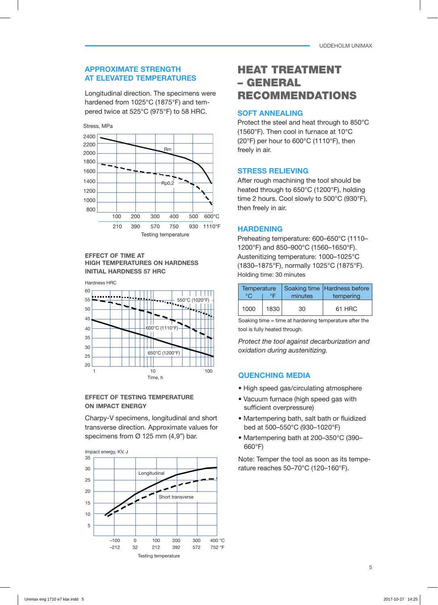## **APPROXIMATE STRENGTH AT ELEVATED TEMPERATURES**

Longitudinal direction. The specimens were hardened from 1025°C (1875°F) and tempered twice at 525°C (975°F) to 58 HRC.



#### **EFFECT OF TIME AT HIGH TEMPERATURES ON HARDNESS INITIAL HARDNESS 57 HRC**



#### **EFFECT OF TESTING TEMPERATURE ON IMPACT ENERGY**

Charpy-V specimens, longitudinal and short transverse direction. Approximate values for specimens from  $\varnothing$  125 mm (4,9") bar.



# HEAT TREATMENT – GENERAL RECOMMENDATIONS

## **SOFT ANNEALING**

Protect the steel and heat through to 850°C (1560°F). Then cool in furnace at 10°C (20°F) per hour to 600°C (1110°F), then freely in air.

# **STRESS RELIEVING**

After rough machining the tool should be heated through to 650°C (1200°F), holding time 2 hours. Cool slowly to 500°C (930°F), then freely in air.

## **HARDENING**

Preheating temperature: 600–650°C (1110– 1200°F) and 850–900°C (1560–1650°F). Austenitizing temperature: 1000–1025°C (1830–1875°F), normally 1025°C (1875°F). Holding time: 30 minutes

| Temperature<br>ᅂ<br>∘∩ |      | minutes | Soaking time Hardness before<br>tempering |  |
|------------------------|------|---------|-------------------------------------------|--|
| 1000                   | 1830 | 30      | 61 HRC                                    |  |

Soaking time = time at hardening temperature after the tool is fully heated through.

*Protect the tool against decarburization and oxidation during austenitizing.*

# **QUENCHING MEDIA**

- High speed gas/circulating atmosphere
- Vacuum furnace (high speed gas with sufficient overpressure)
- Martempering bath, salt bath or fluidized bed at 500–550°C (930–1020°F)
- Martempering bath at 200–350°C (390– 660°F)

Note: Temper the tool as soon as its temperature reaches 50–70°C (120–160°F).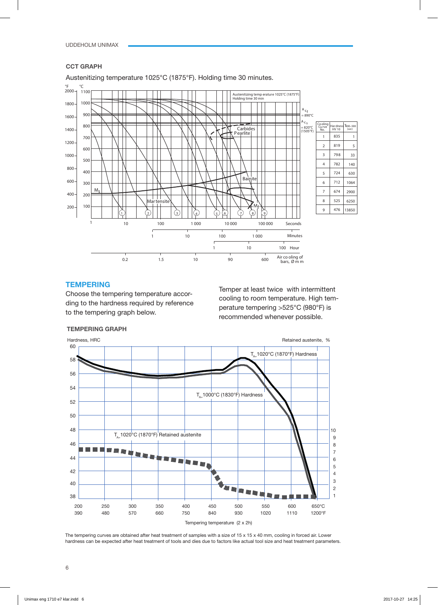#### **CCT GRAPH**

Austenitizing temperature 1025°C (1875°F). Holding time 30 minutes.



### **TEMPERING**

Choose the tempering temperature according to the hardness required by reference to the tempering graph below.

Temper at least twice with intermittent cooling to room temperature. High temperature tempering >525°C (980°F) is recommended whenever possible.



**TEMPERING GRAPH**

The tempering curves are obtained after heat treatment of samples with a size of 15 x 15 x 40 mm, cooling in forced air. Lower hardness can be expected after heat treatment of tools and dies due to factors like actual tool size and heat treatment parameters.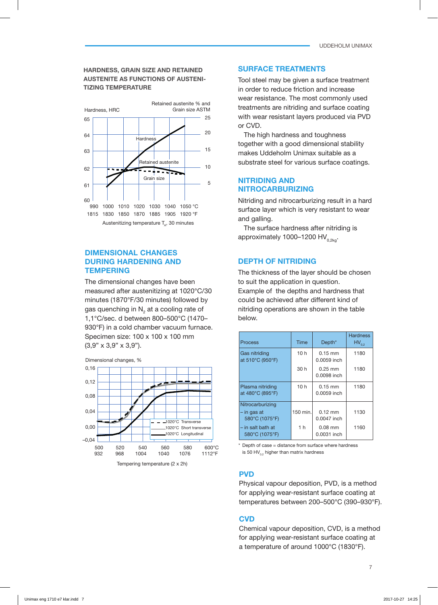#### **HARDNESS, GRAIN SIZE AND RETAINED AUSTENITE AS FUNCTIONS OF AUSTENI-TIZING TEMPERATURE**



#### **DIMENSIONAL CHANGES DURING HARDENING AND TEMPERING**

The dimensional changes have been measured after austenitizing at 1020°C/30 minutes (1870°F/30 minutes) followed by gas quenching in  $\mathsf{N}_2^{}$  at a cooling rate of 1,1°C/sec. d between 800–500°C (1470– 930°F) in a cold chamber vacuum furnace. Specimen size: 100 x 100 x 100 mm (3,9" x 3,9" x 3,9").



#### **SURFACE TREATMENTS**

Tool steel may be given a surface treatment in order to reduce friction and increase wear resistance. The most commonly used treatments are nitriding and surface coating with wear resistant layers produced via PVD or CVD.

The high hardness and toughness together with a good dimensional stability makes Uddeholm Unimax suitable as a substrate steel for various surface coatings.

#### **NITRIDING AND NITROCARBURIZING**

Nitriding and nitrocarburizing result in a hard surface layer which is very resistant to wear and galling.

The surface hardness after nitriding is approximately 1000–1200 HV<sub>0,2kg</sub>.

#### **DEPTH OF NITRIDING**

The thickness of the layer should be chosen to suit the application in question. Example of the depths and hardness that could be achieved after different kind of nitriding operations are shown in the table below.

| Process                                             | Time            | Depth <sup>*</sup>       | <b>Hardness</b><br>$HV_{0,2}$ |
|-----------------------------------------------------|-----------------|--------------------------|-------------------------------|
| Gas nitriding<br>at 510°C (950°F)                   | 10 <sub>h</sub> | $0.15$ mm<br>0.0059 inch | 1180                          |
|                                                     | 30 h            | $0.25$ mm<br>0.0098 inch | 1180                          |
| Plasma nitriding<br>at 480°C (895°F)                | 10 <sub>h</sub> | $0.15$ mm<br>0.0059 inch | 1180                          |
| Nitrocarburizing<br>$-$ in gas at<br>580°C (1075°F) | 150 min.        | $0.12$ mm<br>0.0047 inch | 1130                          |
| $-$ in salt bath at<br>580°C (1075°F)               | 1 <sub>h</sub>  | $0.08$ mm<br>0.0031 inch | 1160                          |

\* Depth of case = distance from surface where hardness is 50 HV $_{0.2}$  higher than matrix hardness

#### **PVD**

Physical vapour deposition, PVD, is a method for applying wear-resistant surface coating at temperatures between 200–500°C (390–930°F).

## **CVD**

Chemical vapour deposition, CVD, is a method for applying wear-resistant surface coating at a temperature of around 1000°C (1830°F).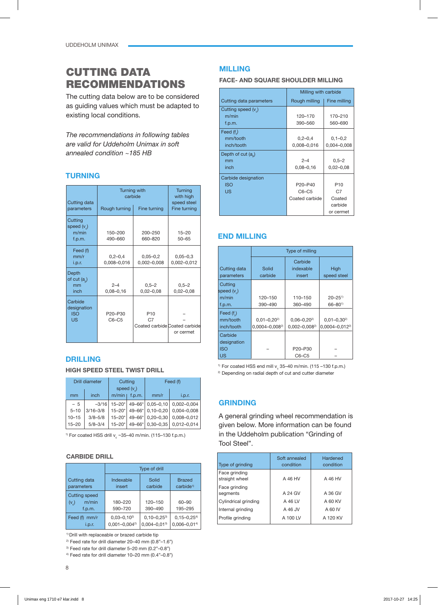# CUTTING DATA RECOMMENDATIONS

The cutting data below are to be considered as guiding values which must be adapted to existing local conditions.

*The recommendations in following tables are valid for Uddeholm Unimax in soft annealed condition ~185 HB*

# **TURNING**

| Cutting data                                      | <b>Turning with</b><br>carbide              | <b>Turning</b><br>with high<br>speed steel                         |                                 |
|---------------------------------------------------|---------------------------------------------|--------------------------------------------------------------------|---------------------------------|
| parameters                                        | Rough turning                               | Fine turning                                                       | Fine turning                    |
| Cutting<br>speed $(vn)$<br>m/min<br>f.p.m.        | 150-200<br>490-660                          | 200-250<br>660-820                                                 | $15 - 20$<br>$50 - 65$          |
| Feed (f)<br>mm/r<br>i.p.r.                        | $0.2 - 0.4$<br>0,008-0,016                  | $0,05 - 0,2$<br>0,002-0,008                                        | $0,05 - 0,3$<br>$0,002 - 0,012$ |
| Depth<br>of $cut(a)$<br>mm<br>inch                | $2 - 4$<br>$0,08 - 0,16$                    | $0,5 - 2$<br>$0,02 - 0,08$                                         | $0,5 - 2$<br>$0,02 - 0,08$      |
| Carbide<br>designation<br><b>ISO</b><br><b>US</b> | P <sub>20</sub> -P <sub>30</sub><br>$C6-C5$ | P <sub>10</sub><br>C <sub>7</sub><br>Coated carbide Coated carbide | or cermet                       |

## **DRILLING**

#### **HIGH SPEED STEEL TWIST DRILL**

|           | Drill diameter | Cutting       |                  | Feed (f)         |                 |
|-----------|----------------|---------------|------------------|------------------|-----------------|
|           |                | speed $(v_*)$ |                  |                  |                 |
| mm        | inch           |               | $m/min$ $f.p.m.$ | mm/r             | i.p.r.          |
| $-5$      | $-3/16$        | $15 - 20$ *   | 49-66*           | $0,05 - 0,10$    | $0,002 - 0,004$ |
| $5 - 10$  | $3/16 - 3/8$   | $15 - 20$ *   |                  | 49-66* 0,10-0,20 | 0,004-0,008     |
| $10 - 15$ | $3/8 - 5/8$    | $15 - 20^*$   | 49-66*           | $0,20 - 0,30$    | $0,008 - 0,012$ |
| $15 - 20$ | $5/8 - 3/4$    | $15 - 20*$    |                  | 49-66* 0,30-0,35 | $0,012 - 0,014$ |

<sup>1)</sup> For coated HSS drill v<sub>c</sub> ~35–40 m/min. (115–130 f.p.m.)

#### **CARBIDE DRILL**

|                            | Type of drill       |                     |                                       |  |
|----------------------------|---------------------|---------------------|---------------------------------------|--|
| Cutting data<br>parameters | Indexable<br>insert | Solid<br>carbide    | <b>Brazed</b><br>carbide <sup>1</sup> |  |
| <b>Cutting speed</b>       |                     |                     |                                       |  |
| m/min<br>$(v_$ )           | 180-220             | 120-150             | 60-90                                 |  |
| f.p.m.                     | 590-720             | 390-490             | 195-295                               |  |
| Feed (f)<br>mm/r           | $0,03-0,10^{2}$     | $0, 10 - 0, 25^{3}$ | $0, 15 - 0, 254$                      |  |
| i.p.r.                     | $0,001 - 0,004^{2}$ | $0.004 - 0.013$     | $0.006 - 0.014$                       |  |

<sup>1)</sup> Drill with replaceable or brazed carbide tip

<sup>2)</sup> Feed rate for drill diameter 20-40 mm  $(0.8"$ -1.6")

3) Feed rate for drill diameter 5–20 mm (0.2"–0.8")

4) Feed rate for drill diameter 10–20 mm (0.4"–0.8")

## **MILLING**

#### **FACE- AND SQUARE SHOULDER MILLING**

|                         | Milling with carbide             |                 |  |
|-------------------------|----------------------------------|-----------------|--|
| Cutting data parameters | Rough milling                    | Fine milling    |  |
| Cutting speed $(vn)$    |                                  |                 |  |
| m/min                   | 120-170                          | 170-210         |  |
| f.p.m.                  | 390-560                          | 560-690         |  |
| Feed $(f)$              |                                  |                 |  |
| mm/tooth                | $0,2-0,4$                        | $0,1-0,2$       |  |
| inch/tooth              | 0,008-0,016                      | $0,004 - 0,008$ |  |
| Depth of cut $(a)$      |                                  |                 |  |
| mm                      | $2 - 4$                          | $0,5 - 2$       |  |
| inch                    | $0,08 - 0,16$                    | $0,02 - 0,08$   |  |
| Carbide designation     |                                  |                 |  |
| <b>ISO</b>              | P <sub>20</sub> -P <sub>40</sub> | P <sub>10</sub> |  |
| <b>US</b>               | $C6-C5$                          | C7              |  |
|                         | Coated carbide                   | Coated          |  |
|                         |                                  | carbide         |  |
|                         |                                  | or cermet       |  |

## **END MILLING**

|                                             | Type of milling                        |                                       |                                                    |  |
|---------------------------------------------|----------------------------------------|---------------------------------------|----------------------------------------------------|--|
| Cutting data<br>parameters                  | Solid<br>carbide                       | Carbide<br>indexable<br>insert        | High<br>speed steel                                |  |
| Cutting<br>speed $(v_a)$<br>m/min<br>f.p.m. | 120-150<br>390-490                     | 110-150<br>360-490                    | $20 - 25$ <sup>1)</sup><br>$66 - 80$ <sup>1)</sup> |  |
| Feed (f)<br>mm/tooth<br>inch/tooth          | $0,01 - 0,202$<br>$0,0004 - 0,008^{2}$ | $0,06 - 0,202$<br>$0,002 - 0,008^{2}$ | $0,01-0,302$<br>$0,0004 - 0,0122$                  |  |
| Carbide<br>designation<br><b>ISO</b><br>US  |                                        | P20-P30<br>$C6-C5$                    |                                                    |  |

<sup>1)</sup> For coated HSS end mill  $v_{c}$  35–40 m/min. (115 –130 f.p.m.) <sup>2)</sup> Depending on radial depth of cut and cutter diameter

## **GRINDING**

A general grinding wheel recommendation is given below. More information can be found in the Uddeholm publication "Grinding of Tool Steel".

| Type of grinding                | Soft annealed<br>condition | Hardened<br>condition |
|---------------------------------|----------------------------|-----------------------|
| Face grinding<br>straight wheel | A 46 HV                    | A 46 HV               |
| Face grinding<br>segments       | A 24 GV                    | A 36 GV               |
| Cylindrical grinding            | A 46 LV                    | A 60 KV               |
| Internal grinding               | A 46 JV                    | A 60 IV               |
| Profile grinding                | A 100 LV                   | A 120 KV              |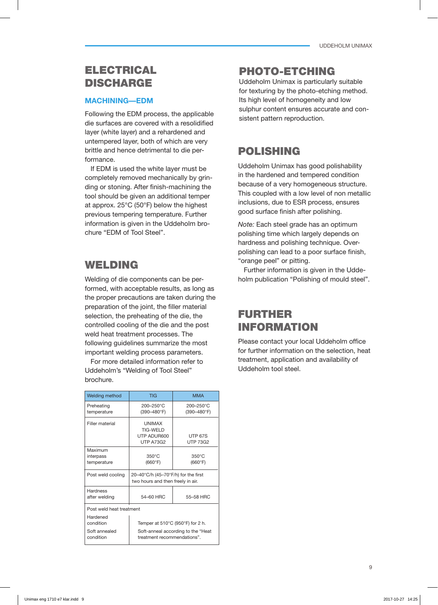# ELECTRICAL DISCHARGE

## **MACHINING—EDM**

Following the EDM process, the applicable die surfaces are covered with a resolidified layer (white layer) and a rehardened and untempered layer, both of which are very brittle and hence detrimental to die performance.

If EDM is used the white layer must be completely removed mechanically by grinding or stoning. After finish-machining the tool should be given an additional temper at approx. 25°C (50°F) below the highest previous tempering temperature. Further information is given in the Uddeholm brochure "EDM of Tool Steel".

# WELDING

Welding of die components can be performed, with acceptable results, as long as the proper precautions are taken during the preparation of the joint, the filler material selection, the preheating of the die, the controlled cooling of the die and the post weld heat treatment processes. The following quidelines summarize the most important welding process parameters.

For more detailed information refer to Uddeholm's "Welding of Tool Steel" brochure.

| <b>Welding method</b>                               | <b>TIG</b>                                                                                            | <b>MMA</b>                        |  |  |  |  |
|-----------------------------------------------------|-------------------------------------------------------------------------------------------------------|-----------------------------------|--|--|--|--|
| Preheating<br>temperature                           | 200-250°C<br>$(390 - 480$ °F)                                                                         | 200-250°C<br>(390-480°F)          |  |  |  |  |
| Filler material                                     | <b>UNIMAX</b><br>TIG-WFI D<br>UTP ADUR600<br><b>UTP A73G2</b>                                         | <b>UTP 67S</b><br><b>UTP 73G2</b> |  |  |  |  |
| Maximum<br>interpass<br>temperature                 | $350^{\circ}$ C<br>(660°F)                                                                            | $350^{\circ}$ C<br>(660°F)        |  |  |  |  |
| Post weld cooling                                   | 20-40°C/h (45-70°F/h) for the first<br>two hours and then freely in air.                              |                                   |  |  |  |  |
| Hardness<br>after welding                           | 54-60 HRC                                                                                             | 55-58 HRC                         |  |  |  |  |
|                                                     | Post weld heat treatment                                                                              |                                   |  |  |  |  |
| Hardened<br>condition<br>Soft annealed<br>condition | Temper at 510°C (950°F) for 2 h.<br>Soft-anneal according to the "Heat<br>treatment recommendations". |                                   |  |  |  |  |

# PHOTO-ETCHING

Uddeholm Unimax is particularly suitable for texturing by the photo-etching method. Its high level of homogeneity and low sulphur content ensures accurate and consistent pattern reproduction.

# POLISHING

Uddeholm Unimax has good polishability in the hardened and tempered condition because of a very homogeneous structure. This coupled with a low level of non metallic inclusions, due to ESR process, ensures good surface finish after polishing.

*Note:* Each steel grade has an optimum polishing time which largely depends on hardness and polishing technique. Overpolishing can lead to a poor surface finish, "orange peel" or pitting.

Further information is given in the Uddeholm publication "Polishing of mould steel".

# FURTHER INFORMATION

Please contact your local Uddeholm office for further information on the selection, heat treatment, application and availability of Uddeholm tool steel.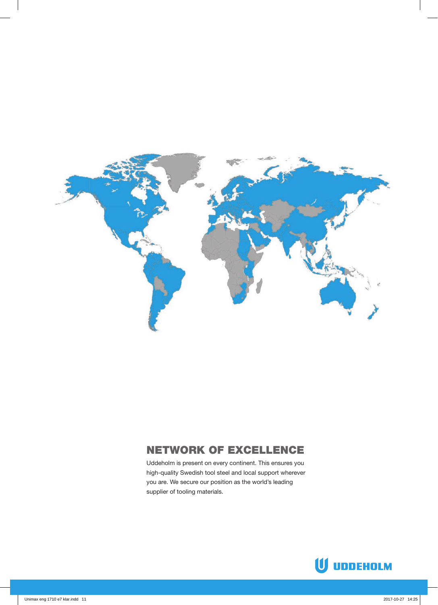

# NETWORK OF EXCELLENCE

Uddeholm is present on every continent. This ensures you high-quality Swedish tool steel and local support wherever you are. We secure our position as the world's leading supplier of tooling materials.